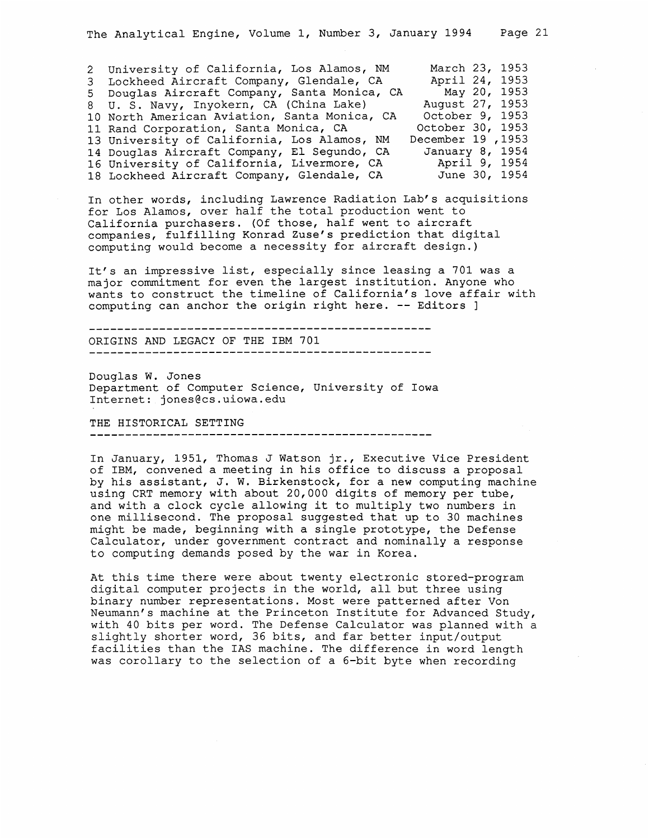| 2 University of California, Los Alamos, NM   | March 23, 1953    |
|----------------------------------------------|-------------------|
| 3 Lockheed Aircraft Company, Glendale, CA    | April 24, 1953    |
| 5 Douglas Aircraft Company, Santa Monica, CA | May 20, 1953      |
| 8 U.S. Navy, Inyokern, CA (China Lake)       | August 27, 1953   |
| 10 North American Aviation, Santa Monica, CA | October 9, 1953   |
| 11 Rand Corporation, Santa Monica, CA        | October 30, 1953  |
| 13 University of California, Los Alamos, NM  | 1953, December 19 |
| 14 Douglas Aircraft Company, El Segundo, CA  | January 8, 1954   |
| 16 University of California, Livermore, CA   | April 9, 1954     |
| 18 Lockheed Aircraft Company, Glendale, CA   | June 30, 1954     |

In other words, including Lawrence Radiation Lab's acquisitions for Los Alamos, over half the total production went to California purchasers. (Of those, half went to aircraft companies, fulfilling Konrad Zuse's prediction that digital computing would become a necessity for aircraft design.)

It's an impressive list, especially since leasing a 701 was a major commitment for even the largest institution. Anyone who wants to construct the timeline of California's love affair with computing can anchor the origin right here. -- Editors ]

ORIGINS AND LEGACY OF THE IBM 701

Douglas W. Jones Department of Computer Science, University of Iowa Internet: jones@cs.uiowa.edu

THE HISTORICAL SETTING

In January, 1951, Thomas J Watson jr., Executive Vice President of IBM, convened a meeting in his office to discuss a proposal by his assistant, J. W. Birkenstock, for a new computing machine using CRT memory with about 20,000 digits of memory per tube, and with a clock cycle allowing it to multiply two numbers in one millisecond. The proposal suggested that up to 30 machines might be made, beginning with a single prototype, the Defense Calculator, under government contract and nominally a response to computing demands posed by the war in Korea.

At this time there were about twenty electronic stored-program digital computer projects in the world, all but three using binary number representations. Most were patterned after Von Neumann's machine at the Princeton Institute for Advanced Study, with 40 bits per word. The Defense Calculator was planned with a slightly shorter word, 36 bits, and far better input/output facilities than the IAS machine. The difference in word length was corollary to the selection of a 6-bit byte when recording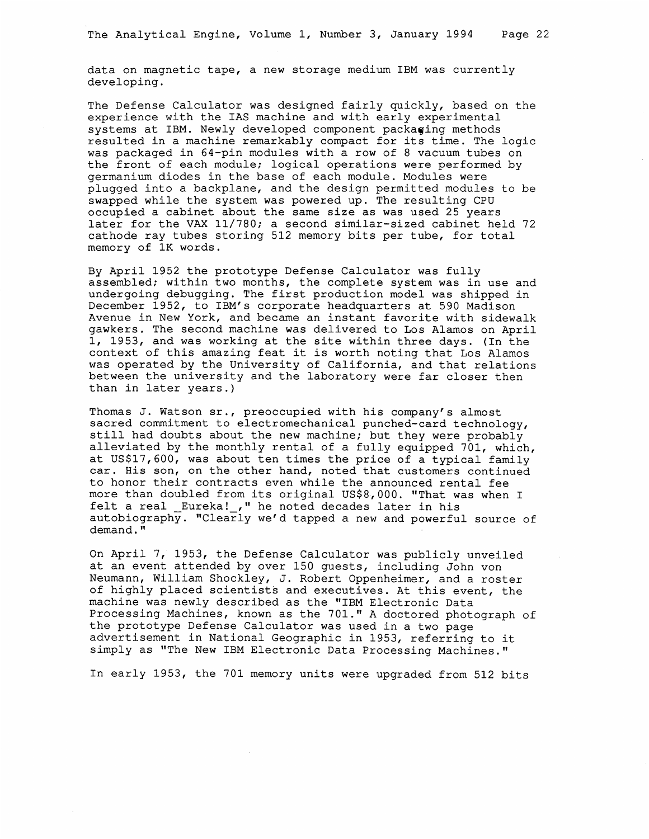data on magnetic tape, a new storage medium IBM was currently developing.

The Defense Calculator was designed fairly quickly, based on the experience with the IAS machine and with early experimental systems at IBM. Newly developed component packaging methods resulted in a machine remarkably compact for its time. The logic was packaged in 64-pin modules with a row of 8 vacuum tubes on the front of each module; logical operations were performed by germanium diodes in the base of each module. Modules were plugged into a backplane, and the design permitted modules to be swapped while the system was powered up. The resulting CPU occupied a cabinet about the same size as was used 25 years later for the VAX 11/780; a second similar-sized cabinet held 72 cathode ray tubes storing 512 memory bits per tube, for total memory of 1K words.

By April 1952 the prototype Defense Calculator was fully assembled; within two months, the complete system was in use and undergoing debugging. The first production model was shipped in December 1952, to IBM's corporate headquarters at 590 Madison Avenue in New York, and became an instant favorite with sidewalk gawkers. The second machine was delivered to Los Alamos on April 1, 1953, and was working at the site within three days. (In the context of this amazing feat it is worth noting that Los Alamos was operated by the University of California, and that relations between the university and the laboratory were far closer then than in later years.)

Thomas J. Watson sr., preoccupied with his company's almost sacred commitment to electromechanical punched-card technology, still had doubts about the new machine; but they were probably alleviated by the monthly rental of a fully equipped 701, which, at USS17,600, was about ten times the price of a typical family car. His son, on the other hand, noted that customers continued to honor their contracts even while the announced rental fee more than doubled from its original USS\$8,000. "That was when I felt a real Eureka! . " he noted decades later in his autobiography. "Clearly we'd tapped a new and powerful source of demand."

On April 7, 1953, the Defense Calculator was publicly unveiled at an event attended by over 150 guests, including John von Neumann, William Shockley, J. Robert Oppenheimer, and a roster of highly placed scientists and executives. At this event, the machine was newly described as the "IBM Electronic Data Processing Machines, known as the 701." A doctored photograph of the prototype Defense Calculator was used in a two page advertisement in National Geographic in 1953, referring to it simply as "The New IBM Electronic Data Processing Machines."

In early 1953, the 701 memory units were upgraded from 512 bits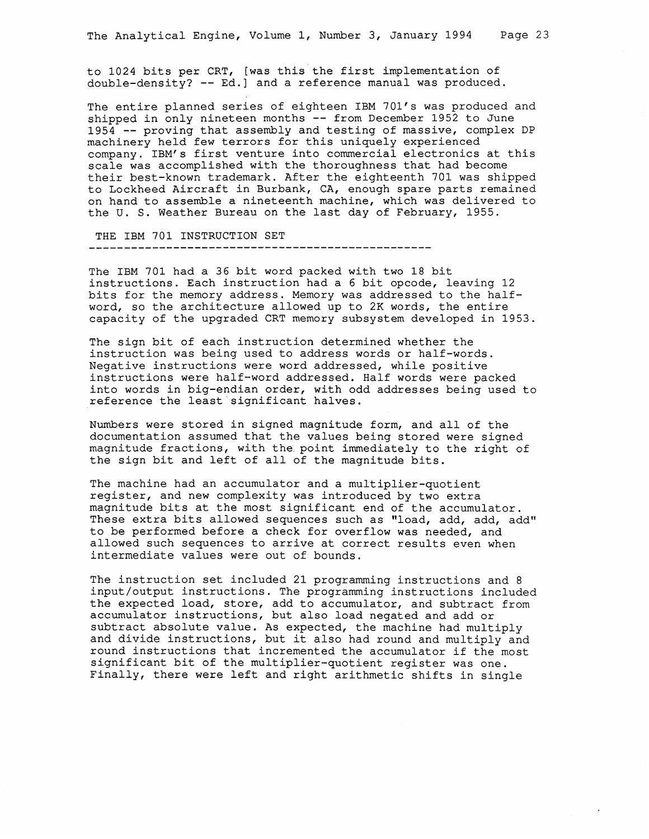to 1024 bits per CRT, [was this the first implementation of double-density? -- Ed.] and a reference manual was produced.

The entire planned series of eighteen IBM 701's was produced and shipped in only nineteen months -- from December 1952 to June 1954 -- proving that assembly and testing of massive, complex DP machinery held few terrors for this uniquely experienced company. IBM's first venture into commercial electronics at this scale was accomplished with the thoroughness that had become their best-known trademark. After the eighteenth 701 was shipped to Lockheed Aircraft in Burbank, CA, enough spare parts remained on hand to assemble a nineteenth machine, which was delivered to the U. S. Weather Bureau on the last day of February, 1955.

THE IBM 701 INSTRUCTION SET

The IBM 701 had a 36 bit word packed with two 18 bit instructions. Each instruction had a 6 bit opcode, leaving 12 bits for the memory address. Memory was addressed to the halfword, so the architecture allowed up to 2K words, the entire capacity of the upgraded CRT memory subsystem developed in 1953.

The sign bit of each instruction determined whether the instruction was being used to address words or half-words. Negative instructions were word addressed, while positive instructions were half-word addressed. Half words were packed into words in big-endian order, with odd addresses being used to reference the least significant halves.

Numbers were stored in signed magnitude form, and all of the documentation assumed that the values being stored were signed magnitude fractions, with the point immediately to the right of the sign bit and left of all of the magnitude bits.

The machine had an accumulator and a multiplier-quotient register, and new complexity was introduced by two extra magnitude bits at the most significant end of the accumulator. These extra bits allowed sequences such as "load, add, add, add" to be performed before a check for overflow was needed, and allowed such sequences to arrive at correct results even when intermediate values were out of bounds.

The instruction set included 21 programming instructions and 8 input/output instructions. The programming instructions included the expected load, store, add to accumulator, and subtract from accumulator instructions, but also load negated and add or subtract absolute value. As expected, the machine had multiply and divide instructions, but it also had round and multiply and round instructions that incremented the accumulator if the most significant bit of the multiplier-quotient register was one. Finally, there were left and right arithmetic shifts in single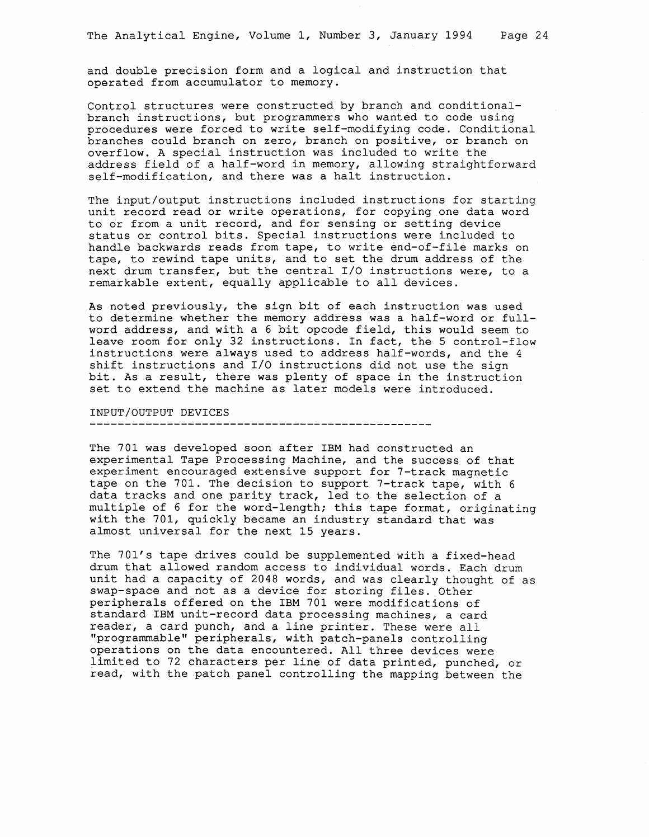and double precision form and a logical and instruction that operated from accumulator to memory.

Control structures were constructed by branch and conditionalbranch instructions, but programmers who wanted to code using procedures were forced to write self-modifying code. Conditional branches could branch on zero, branch on positive, or branch on overflow. A special instruction was included to write the address field of a half-word in memory, allowing straightforward self-modification, and there was a halt instruction,

The input/output instructions included instructions for starting unit record read or write operations, for copying one data word to or from a unit record, and for sensing or setting device status or control bits. Special instructions were included to handle backwards reads from tape, to write end-of-file marks on tape, to rewind tape units, and to set the drum address of the next drum transfer, but the central I/O instructions were, to a remarkable extent, equally applicable to all devices.

As noted previously, the sign bit of each instruction was used to determine whether the memory address was a half-word or fullword address, and with a 6 bit opcode field, this would seem to leave room for only 32 instructions. In fact, the 5 control-flow instructions were always used to address half-words, and the 4 shift instructions and I/O instructions did not use the sign bit. As a result, there was plenty of space in the instruction set to extend the machine as later models were introduced.

## INPUT/OUTPUT DEVICES

The 701 was developed soon after IBM had constructed an experimental Tape Processing Machine, and the success of that experiment encouraged extensive support for 7-track magnetic tape on the 701. The decision to support 7-track tape, with 6 data tracks and one parity track, led to the selection of a multiple of 6 for the word-length; this tape format, originating with the 701, quickly became an industry standard that was almost universal for the next 15 years.

The 701's tape drives could be supplemented with a fixed-head drum that allowed random access to individual words. Each drum unit had a capacity of 2048 words, and was clearly thought of as Swap-space and not as a device for storing files. Other peripherals offered on the IBM 701 were modifications of standard IBM unit-record data processing machines, a card reader, a card punch, and a line printer. These were all "programmable" peripherals, with patch-panels controlling operations on the data encountered. All three devices were limited to 72 characters per line of data printed, punched, or read, with the patch panel controlling the mapping between the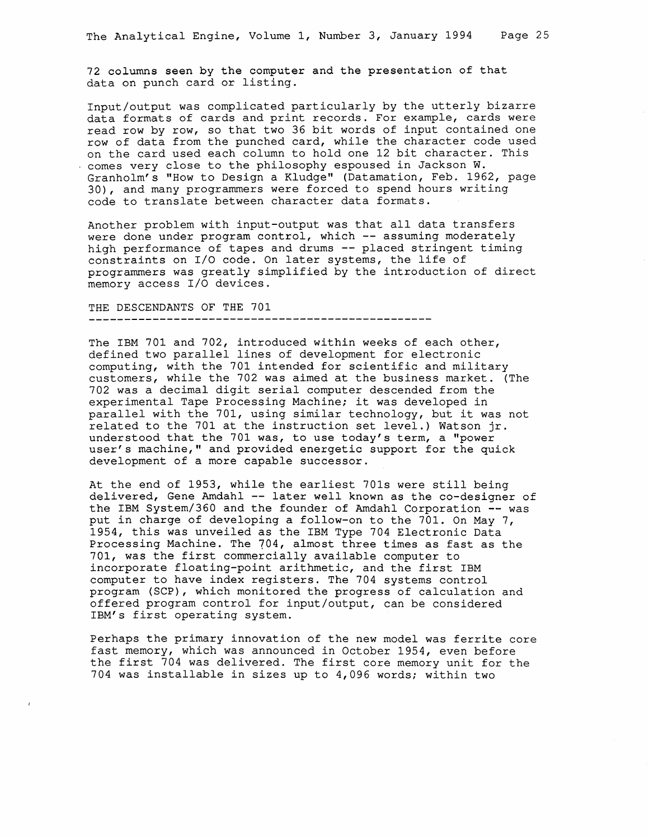72 columns seen by the computer and the presentation of that data on punch card or listing.

Input/output was complicated particularly by the utterly bizarre data formats of cards and print records. For example, cards were read row by row, so that two 36 bit words of input contained one row of data from the punched card, while the character code used on the card used each column to hold one 12 bit character. This - comes very close to the philosophy espoused in Jackson W. Granholm's "How to Design a Kludge" (Datamation, Feb. 1962, page 30), and many programmers were forced to spend hours writing code to translate between character data formats.

Another problem with input-output was that all data transfers were done under program control, which -- assuming moderately high performance of tapes and drums -- placed stringent timing constraints on I/O code. On later systems, the life of programmers was greatly simplified by the introduction of direct memory access I/O devices.

THE DESCENDANTS OF THE 701 

The IBM 701 and 702, introduced within weeks of each other, defined two parallel lines of development for electronic computing, with the 701 intended for scientific and military customers, while the 702 was aimed at the business market. (The 702 was a decimal digit serial computer descended from the experimental Tape Processing Machine; it was developed in parallel with the 701, using similar technology, but it was not related to the 701 at the instruction set level.) Watson jr. understood that the 701 was, to use today's term, a "power user's machine," and provided energetic support for the quick development of a more capable successor.

At the end of 1953, while the earliest 701s were still being delivered, Gene Amdahl -- later well known as the co-designer of the IBM System/360 and the founder of Amdahl Corporation -- was put in charge of developing a follow-on to the 701. On May 7, 1954, this was unveiled as the IBM Type 704 Electronic Data Processing Machine. The 704, almost three times as fast as the 701, was the first commercially available computer to incorporate floating-point arithmetic, and the first IBM computer to have index registers. The 704 systems control program (SCP), which monitored the progress of calculation and offered program control for input/output, can be considered IBM's first operating system. .

Perhaps the primary innovation of the new model was ferrite core fast memory, which was announced in October 1954, even before the first 704 was delivered. The first core memory unit for the 704 was installable in sizes up to 4,096 words; within two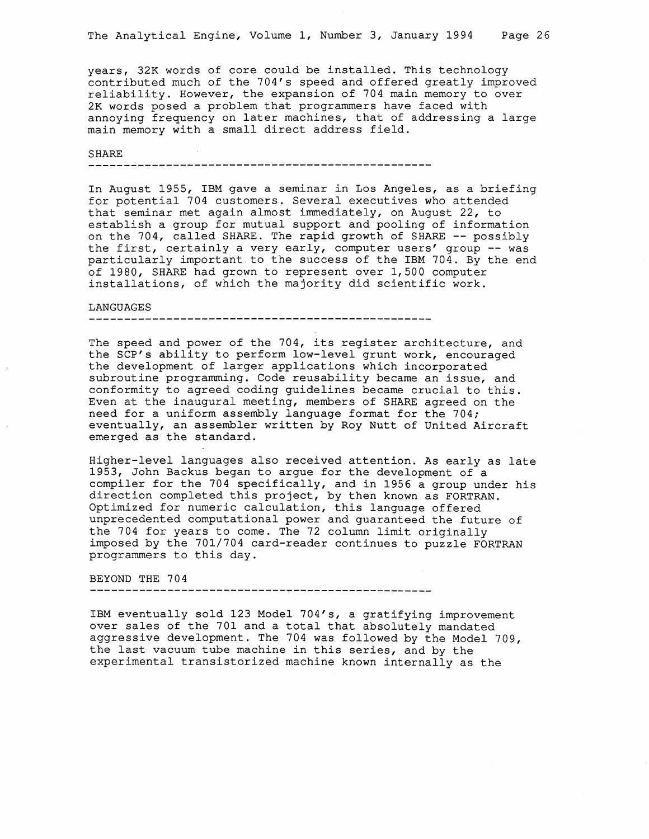years, 32K words of core could be installed. This technology contributed much of the 704's speed and offered greatly improved reliability. However, the expansion of 704 main memory to over 2K words posed a problem that programmers have faced with annoying frequency on later machines, that of addressing a large main memory with a small direct address field.

### **SHARE**

ee cece ere re ee ms ere ee ee ee ee ee ee ee ee ee ee ee ee ee re ee eee ce re ee ee eee ee ee ee ee ee ee oe ee

In August 1955, IBM gave a seminar in Los Angeles, as a briefing for potential 704 customers. Several executives who attended that seminar met again almost immediately, on August 22, to establish a group for mutual support and pooling of information on the 704, called SHARE. The rapid growth of SHARE -- possibly the first, certainly a very early, computer users' group -- was particularly important to the success of the IBM 704. By the end of 1980, SHARE had grown to represent over 1,500 computer installations, of which the majority did scientific work.

#### LANGUAGES

The speed and power of the 704, its register architecture, and the SCP's ability to perform low-level grunt work, encouraged the development of larger applications which incorporated subroutine programming. Code reusability became an issue, and conformity to agreed coding guidelines became crucial to this. Even at the inaugural meeting, members of SHARE agreed on the need for a uniform assembly language format for the 704; eventually, an assembler written by Roy Nutt of United Aircraft emerged as the standard.

Higher-level languages also received attention. As early as late 1953, John Backus began to argue for the development of a compiler for the 704 specifically, and in 1956 a group under his direction completed this project, by then known as FORTRAN. Optimized for numeric calculation, this language offered unprecedented computational power and guaranteed the future of the 704 for years to come. The 72 column limit originally imposed by the 701/704 card-reader continues to puzzle FORTRAN programmers to this day.

BEYOND THE 704

IBM eventually sold 123 Model 704's, a gratifying improvement over sales of the 701 and a total that absolutely mandated aggressive development. The 704 was followed by the Model 709, the last vacuum tube machine in this series, and by the experimental transistorized machine known internally as the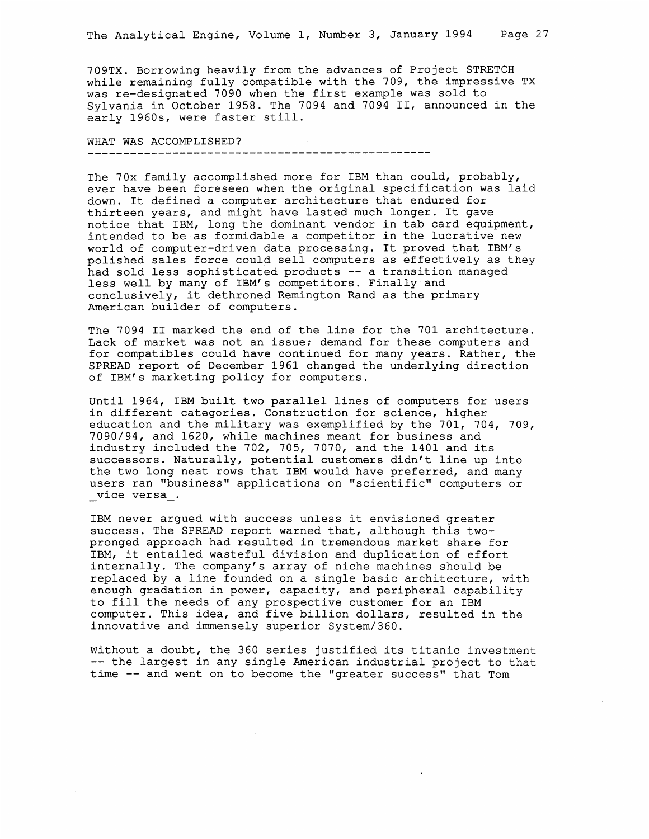709TX. Borrowing heavily from the advances of Project STRETCH while remaining fully compatible with the 709, the impressive TX was re-designated 7090 when the first example was sold to Sylvania in October 1958. The 7094 and 7094 II, announced in the early 1960s, were faster still.

WHAT WAS ACCOMPLISHED?

The 70x family accomplished more for IBM than could, probably, ever have been foreseen when the original specification was laid down. It defined a computer architecture that endured for thirteen years, and might have lasted much longer. It gave notice that IBM, long the dominant vendor in tab card equipment, intended to be as formidable a competitor in the lucrative new world of computer-driven data processing. It proved that IBM's polished sales force could sell computers as effectively as they had sold less sophisticated products -- a transition managed less well by many of IBM's competitors. Finally and conclusively, it dethroned Remington Rand as the primary American builder of computers.

The 7094 II marked the end of the line for the 701 architecture. Lack of market was not an issue; demand for these computers and for compatibles could have continued for many years. Rather, the SPREAD report of December 1961 changed the underlying direction of IBM's marketing policy for computers.

Until 1964, IBM built two parallel lines of computers for users in different categories. Construction for science, higher education and the military was exemplified by the 701, 704, 709, 7090/94, and 1620, while machines meant for business and industry included the 702, 705, 7070, and the 1401 and its successors. Naturally, potential customers didn't line up into the two long neat rows that IBM would have preferred, and many users ran "business" applications on "scientific" computers or \_vice versa\_.

IBM never argued with success unless it envisioned greater success. The SPREAD report warned that, although this twopronged approach had resulted in tremendous market share for IBM, it entailed wasteful division and duplication of effort internally. The company's array of niche machines should be replaced by a line founded on a single basic architecture, with enough gradation in power, capacity, and peripheral capability to fill the needs of any prospective customer for an IBM computer. This idea, and five billion dollars, resulted in the innovative and immensely superior System/360.

Without a doubt, the 360 series justified its titanic investment -- the largest in any single American industrial project to that time -- and went on to become the "greater success" that Tom